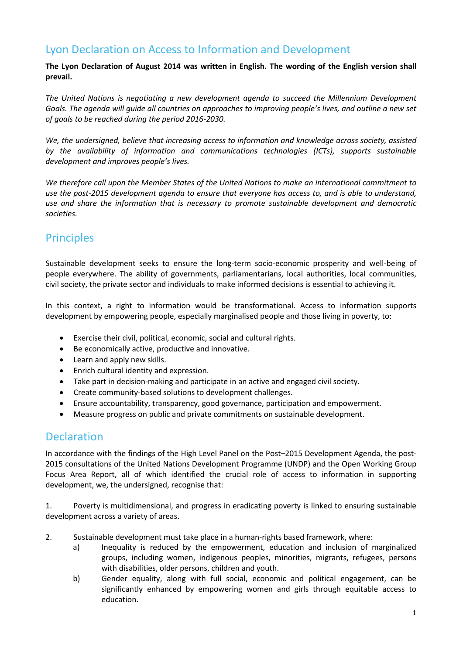# Lyon Declaration on Access to Information and Development

**The Lyon Declaration of August 2014 was written in English. The wording of the English version shall prevail.**

*The United Nations is negotiating a new development agenda to succeed the Millennium Development Goals. The agenda will guide all countries on approaches to improving people's lives, and outline a new set of goals to be reached during the period 2016-2030.* 

*We, the undersigned, believe that increasing access to information and knowledge across society, assisted by the availability of information and communications technologies (ICTs), supports sustainable development and improves people's lives.* 

*We therefore call upon the Member States of the United Nations to make an international commitment to use the post-2015 development agenda to ensure that everyone has access to, and is able to understand, use and share the information that is necessary to promote sustainable development and democratic societies.*

# Principles

Sustainable development seeks to ensure the long-term socio-economic prosperity and well-being of people everywhere. The ability of governments, parliamentarians, local authorities, local communities, civil society, the private sector and individuals to make informed decisions is essential to achieving it.

In this context, a right to information would be transformational. Access to information supports development by empowering people, especially marginalised people and those living in poverty, to:

- Exercise their civil, political, economic, social and cultural rights.
- Be economically active, productive and innovative.
- Learn and apply new skills.
- Enrich cultural identity and expression.
- Take part in decision-making and participate in an active and engaged civil society.
- Create community-based solutions to development challenges.
- Ensure accountability, transparency, good governance, participation and empowerment.
- Measure progress on public and private commitments on sustainable development.

### Declaration

In accordance with the findings of the High Level Panel on the Post–2015 Development Agenda, the post-2015 consultations of the United Nations Development Programme (UNDP) and the Open Working Group Focus Area Report, all of which identified the crucial role of access to information in supporting development, we, the undersigned, recognise that:

1. Poverty is multidimensional, and progress in eradicating poverty is linked to ensuring sustainable development across a variety of areas.

- 2. Sustainable development must take place in a human-rights based framework, where:
	- a) Inequality is reduced by the empowerment, education and inclusion of marginalized groups, including women, indigenous peoples, minorities, migrants, refugees, persons with disabilities, older persons, children and youth.
	- b) Gender equality, along with full social, economic and political engagement, can be significantly enhanced by empowering women and girls through equitable access to education.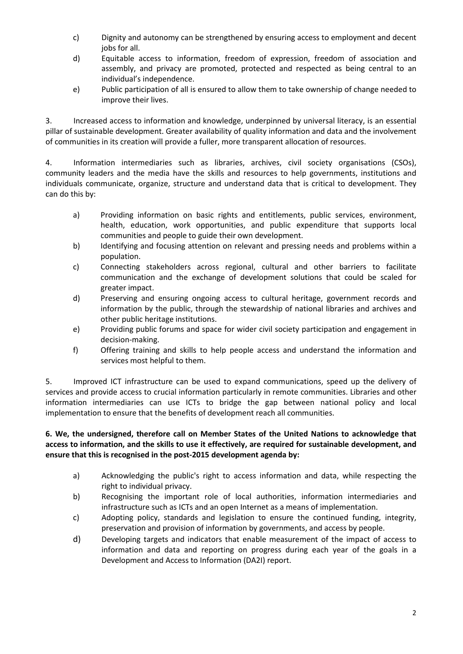- c) Dignity and autonomy can be strengthened by ensuring access to employment and decent jobs for all.
- d) Equitable access to information, freedom of expression, freedom of association and assembly, and privacy are promoted, protected and respected as being central to an individual's independence.
- e) Public participation of all is ensured to allow them to take ownership of change needed to improve their lives.

3. Increased access to information and knowledge, underpinned by universal literacy, is an essential pillar of sustainable development. Greater availability of quality information and data and the involvement of communities in its creation will provide a fuller, more transparent allocation of resources.

4. Information intermediaries such as libraries, archives, civil society organisations (CSOs), community leaders and the media have the skills and resources to help governments, institutions and individuals communicate, organize, structure and understand data that is critical to development. They can do this by:

- a) Providing information on basic rights and entitlements, public services, environment, health, education, work opportunities, and public expenditure that supports local communities and people to guide their own development.
- b) Identifying and focusing attention on relevant and pressing needs and problems within a population.
- c) Connecting stakeholders across regional, cultural and other barriers to facilitate communication and the exchange of development solutions that could be scaled for greater impact.
- d) Preserving and ensuring ongoing access to cultural heritage, government records and information by the public, through the stewardship of national libraries and archives and other public heritage institutions.
- e) Providing public forums and space for wider civil society participation and engagement in decision-making.
- f) Offering training and skills to help people access and understand the information and services most helpful to them.

5. Improved ICT infrastructure can be used to expand communications, speed up the delivery of services and provide access to crucial information particularly in remote communities. Libraries and other information intermediaries can use ICTs to bridge the gap between national policy and local implementation to ensure that the benefits of development reach all communities.

#### **6. We, the undersigned, therefore call on Member States of the United Nations to acknowledge that access to information, and the skills to use it effectively, are required for sustainable development, and ensure that this is recognised in the post-2015 development agenda by:**

- a) Acknowledging the public's right to access information and data, while respecting the right to individual privacy.
- b) Recognising the important role of local authorities, information intermediaries and infrastructure such as ICTs and an open Internet as a means of implementation.
- c) Adopting policy, standards and legislation to ensure the continued funding, integrity, preservation and provision of information by governments, and access by people.
- d) Developing targets and indicators that enable measurement of the impact of access to information and data and reporting on progress during each year of the goals in a Development and Access to Information (DA2I) report.